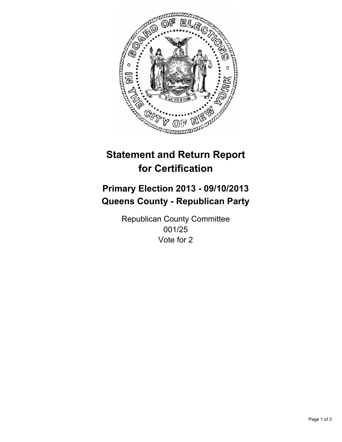

# **Statement and Return Report for Certification**

## **Primary Election 2013 - 09/10/2013 Queens County - Republican Party**

Republican County Committee 001/25 Vote for 2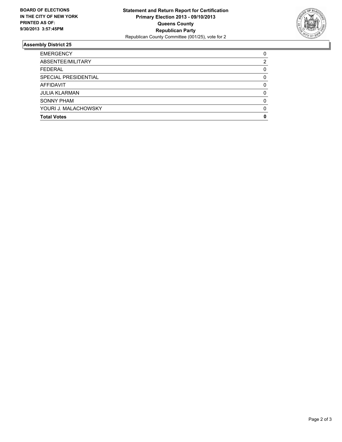

### **Assembly District 25**

| <b>EMERGENCY</b>     | 0        |
|----------------------|----------|
| ABSENTEE/MILITARY    | 2        |
| <b>FEDERAL</b>       | 0        |
| SPECIAL PRESIDENTIAL | 0        |
| <b>AFFIDAVIT</b>     | 0        |
| <b>JULIA KLARMAN</b> | $\Omega$ |
| <b>SONNY PHAM</b>    | 0        |
| YOURI J. MALACHOWSKY | 0        |
| <b>Total Votes</b>   | 0        |